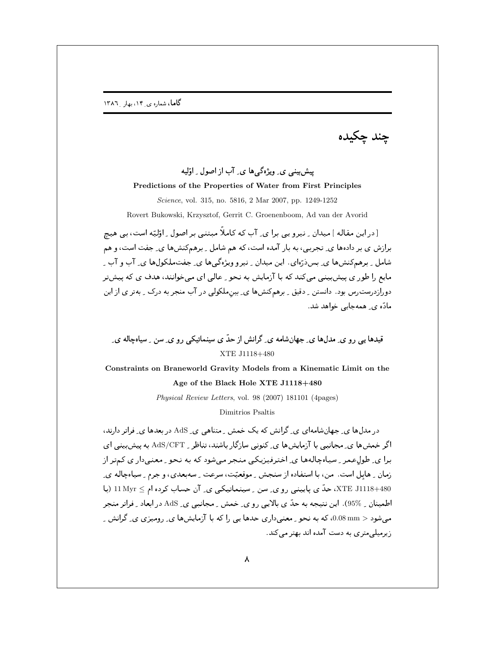چند چکيده

## پیش بینبی ی ویژهگی ها ی ِ آب از اصول ِ اوّلیه

## Predictions of the Properties of Water from First Principles

Science, vol. 315, no. 5816, 2 Mar 2007, pp. 1249-1252 Rovert Bukowski, Krzysztof, Gerrit C. Groenenboom, Ad van der Avorid

[در این مقاله ] میدان ِ نیرو یی برا ی ِ آب که کاملاً مبتنی بر اصول ِ اوّلیّه است، بی هیچ

برازش ی بر دادهها ی ِ تجربی، به بار آمده است، که هم شامل ِ برهمکنشها ی ِ جفت است، و هم شامل په مه کنش ها ی پس دُرّوای . این میدان په نیرو ویژوگی ها ی چفت ملکول ها ی آب و آب په مایع را طور ی پیش بینی می کند که با آزمایش به نجو \_عالی ای می خوانند، هدف ی که پیش تر دورازدرست رس بود. دانستن ِ دقیق ِ برهمکنشها ی ِ بین ملکولی در آب منجر به درک ِ بهتر ی از این مادّہ ی ِ همه جایی خواهد شد.

قیدها پے , و ی ِ مدلها ی ِ جهانِشامه ی ِ گرانش از حدّ ی سینماتیکی , و ی ِ سن ِ سیاهچاله ی ِ XTE J1118+480

## Constraints on Braneworld Gravity Models from a Kinematic Limit on the Age of the Black Hole XTE J1118+480

Physical Review Letters, vol. 98 (2007) 181101 (4pages)

Dimitrios Psaltis

د. مدلها ی ِ جهانشامهای ی ِ گرانش که یک خمش ِ متناهی ی ِ AdS در بعدها ی ِ فراتر دارند، اگر خمشها ی ِ مجانبی با آزمایشها ی ِ کنونی سازگار باشند، تناظر ِ AdS/CFT به پیش بینی ای برا ی ِ طول عمر ِ سیاهچالهها ی ِ اخترفیزیکی منجر میشود که به نحو ِ معنیدار ی کمتر از زمان \_ هابل است. من، با استفاده از سنجش \_ موقعیّت، سرعت \_ سهبعدي، و جرم \_ سیاهچاله ي\_ XTE J1118+480، حدّ ی پایینی رو ی ِ سن ِ سینماتیکی ی ِ آن حساب کرده ام ≥ 11 Myr (با اطمینان <sub>بـ</sub> 95%). این نتیجه به حدّ ی بالایی رو ی ِ خمش ِ مجانبی ی ِ AdS در ابعاد ِ فراتر منجر میشود < 0.08 mm، که به نحو <sub>-</sub> معنیداری حدها یی را که با آزمایشها ی ِ رومیزی ی ِ گرانش ِ ِ زیرمیلے متر ی به دست آمده اند بهتر می کند.